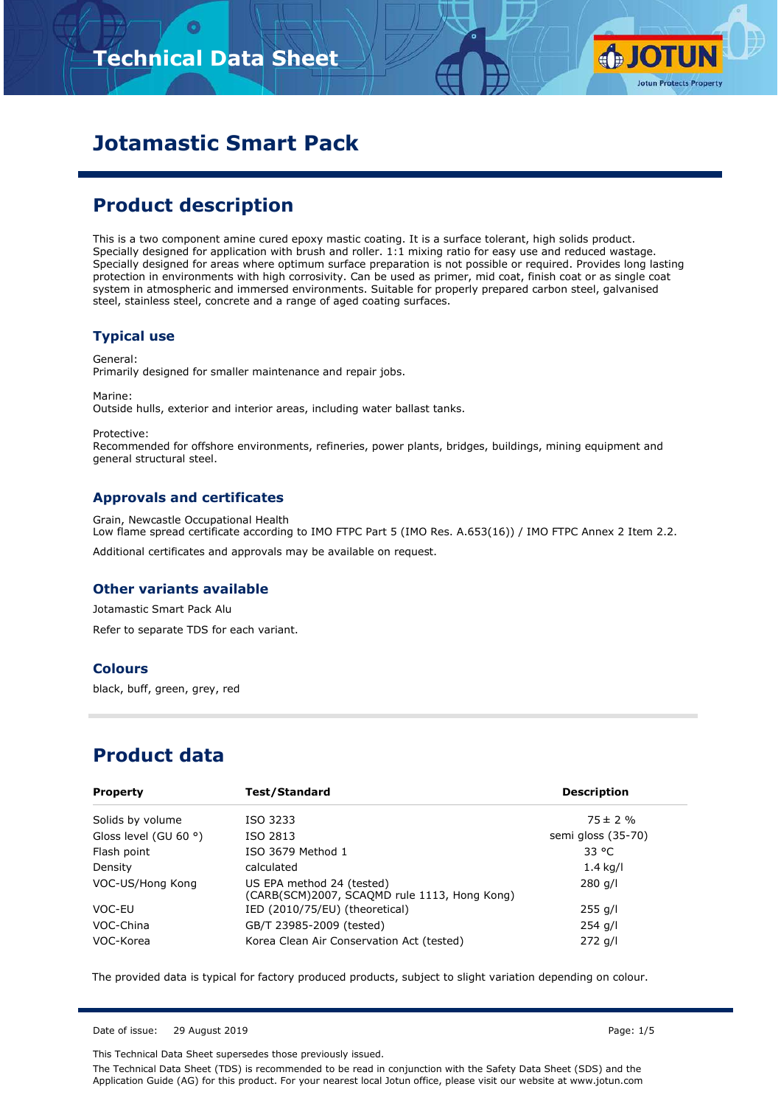# **Technical Data Sheet**



# **Jotamastic Smart Pack**

# **Product description**

This is a two component amine cured epoxy mastic coating. It is a surface tolerant, high solids product. Specially designed for application with brush and roller. 1:1 mixing ratio for easy use and reduced wastage. Specially designed for areas where optimum surface preparation is not possible or required. Provides long lasting protection in environments with high corrosivity. Can be used as primer, mid coat, finish coat or as single coat system in atmospheric and immersed environments. Suitable for properly prepared carbon steel, galvanised steel, stainless steel, concrete and a range of aged coating surfaces.

### **Typical use**

General: Primarily designed for smaller maintenance and repair jobs.

Marine: Outside hulls, exterior and interior areas, including water ballast tanks.

Protective: Recommended for offshore environments, refineries, power plants, bridges, buildings, mining equipment and general structural steel.

### **Approvals and certificates**

Grain, Newcastle Occupational Health Low flame spread certificate according to IMO FTPC Part 5 (IMO Res. A.653(16)) / IMO FTPC Annex 2 Item 2.2. Additional certificates and approvals may be available on request.

### **Other variants available**

Jotamastic Smart Pack Alu Refer to separate TDS for each variant.

#### **Colours**

black, buff, green, grey, red

### **Product data**

| <b>Property</b>                | Test/Standard                                                             | <b>Description</b> |
|--------------------------------|---------------------------------------------------------------------------|--------------------|
| Solids by volume               | ISO 3233                                                                  | $75 \pm 2 \%$      |
| Gloss level (GU 60 $\degree$ ) | ISO 2813                                                                  | semi gloss (35-70) |
| Flash point                    | ISO 3679 Method 1                                                         | 33 °C              |
| Density                        | calculated                                                                | $1.4$ kg/l         |
| VOC-US/Hong Kong               | US EPA method 24 (tested)<br>(CARB(SCM)2007, SCAQMD rule 1113, Hong Kong) | $280$ g/l          |
| VOC-EU                         | IED (2010/75/EU) (theoretical)                                            | 255 g/l            |
| VOC-China                      | GB/T 23985-2009 (tested)                                                  | $254$ g/l          |
| VOC-Korea                      | Korea Clean Air Conservation Act (tested)                                 | $272$ g/l          |

The provided data is typical for factory produced products, subject to slight variation depending on colour.

Date of issue: 29 August 2019 Page: 1/5

This Technical Data Sheet supersedes those previously issued.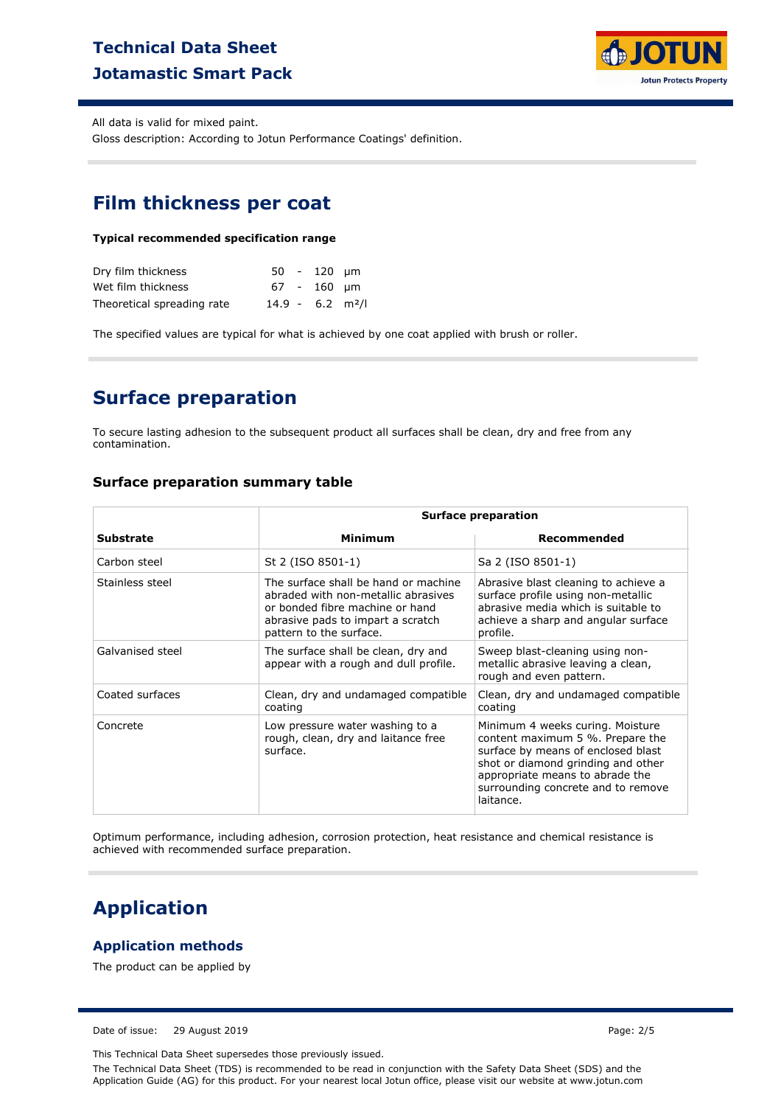# **Technical Data Sheet Jotamastic Smart Pack**



All data is valid for mixed paint.

Gloss description: According to Jotun Performance Coatings' definition.

## **Film thickness per coat**

#### **Typical recommended specification range**

| Dry film thickness         |                                | 50 - 120 um |  |
|----------------------------|--------------------------------|-------------|--|
| Wet film thickness         |                                | 67 - 160 um |  |
| Theoretical spreading rate | $14.9 - 6.2$ m <sup>2</sup> /l |             |  |

The specified values are typical for what is achieved by one coat applied with brush or roller.

### **Surface preparation**

To secure lasting adhesion to the subsequent product all surfaces shall be clean, dry and free from any contamination.

#### **Surface preparation summary table**

|                  | <b>Surface preparation</b>                                                                                                                                                     |                                                                                                                                                                                                                                        |  |
|------------------|--------------------------------------------------------------------------------------------------------------------------------------------------------------------------------|----------------------------------------------------------------------------------------------------------------------------------------------------------------------------------------------------------------------------------------|--|
| <b>Substrate</b> | <b>Minimum</b>                                                                                                                                                                 | Recommended                                                                                                                                                                                                                            |  |
| Carbon steel     | St 2 (ISO 8501-1)                                                                                                                                                              | Sa 2 (ISO 8501-1)                                                                                                                                                                                                                      |  |
| Stainless steel  | The surface shall be hand or machine<br>abraded with non-metallic abrasives<br>or bonded fibre machine or hand<br>abrasive pads to impart a scratch<br>pattern to the surface. | Abrasive blast cleaning to achieve a<br>surface profile using non-metallic<br>abrasive media which is suitable to<br>achieve a sharp and angular surface<br>profile.                                                                   |  |
| Galvanised steel | The surface shall be clean, dry and<br>appear with a rough and dull profile.                                                                                                   | Sweep blast-cleaning using non-<br>metallic abrasive leaving a clean,<br>rough and even pattern.                                                                                                                                       |  |
| Coated surfaces  | Clean, dry and undamaged compatible<br>coating                                                                                                                                 | Clean, dry and undamaged compatible<br>coating                                                                                                                                                                                         |  |
| Concrete         | Low pressure water washing to a<br>rough, clean, dry and laitance free<br>surface.                                                                                             | Minimum 4 weeks curing. Moisture<br>content maximum 5 %. Prepare the<br>surface by means of enclosed blast<br>shot or diamond grinding and other<br>appropriate means to abrade the<br>surrounding concrete and to remove<br>laitance. |  |

Optimum performance, including adhesion, corrosion protection, heat resistance and chemical resistance is achieved with recommended surface preparation.

### **Application**

### **Application methods**

The product can be applied by

Date of issue: 29 August 2019 Page: 2/5

This Technical Data Sheet supersedes those previously issued.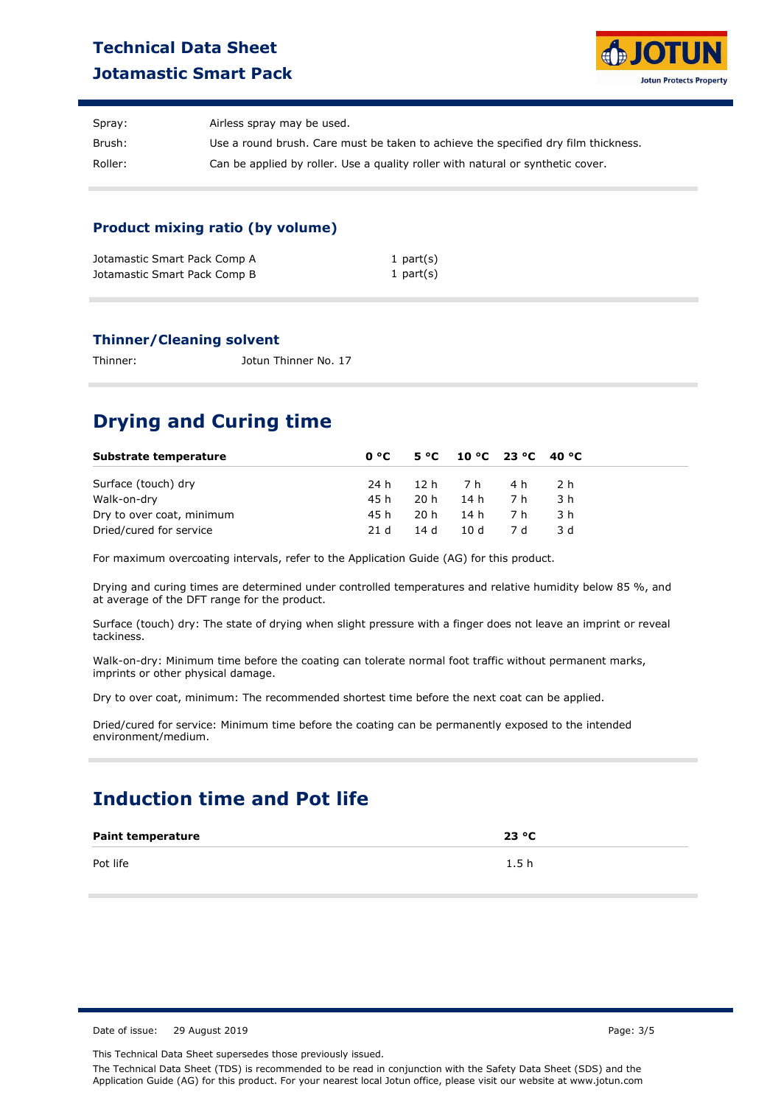# **Technical Data Sheet Jotamastic Smart Pack**



| Spray:  | Airless spray may be used.                                                         |
|---------|------------------------------------------------------------------------------------|
| Brush:  | Use a round brush. Care must be taken to achieve the specified dry film thickness. |
| Roller: | Can be applied by roller. Use a quality roller with natural or synthetic cover.    |

### **Product mixing ratio (by volume)**

| Jotamastic Smart Pack Comp A | 1 part $(s)$ |
|------------------------------|--------------|
| Jotamastic Smart Pack Comp B | 1 part $(s)$ |

#### **Thinner/Cleaning solvent**

Thinner: Jotun Thinner No. 17

# **Drying and Curing time**

| Substrate temperature     |      | $0^{\circ}$ C 5 °C 10 °C 23 °C 40 °C |       |
|---------------------------|------|--------------------------------------|-------|
| Surface (touch) dry       |      | 24 h 12 h 7 h 4 h                    | - 2 h |
| Walk-on-dry               | 45 h | 20h 14h 7h                           | -3 h  |
| Dry to over coat, minimum | 45 h | 20h 14h 7h                           | .3 h  |
| Dried/cured for service   | 21 d | 14 d 10 d 7 d                        | -3 d  |

For maximum overcoating intervals, refer to the Application Guide (AG) for this product.

Drying and curing times are determined under controlled temperatures and relative humidity below 85 %, and at average of the DFT range for the product.

Surface (touch) dry: The state of drying when slight pressure with a finger does not leave an imprint or reveal tackiness.

Walk-on-dry: Minimum time before the coating can tolerate normal foot traffic without permanent marks, imprints or other physical damage.

Dry to over coat, minimum: The recommended shortest time before the next coat can be applied.

Dried/cured for service: Minimum time before the coating can be permanently exposed to the intended environment/medium.

# **Induction time and Pot life**

| <b>Paint temperature</b> | 23 °C |
|--------------------------|-------|
| Pot life                 | 1.5h  |

Date of issue: 29 August 2019 Page: 3/5

This Technical Data Sheet supersedes those previously issued.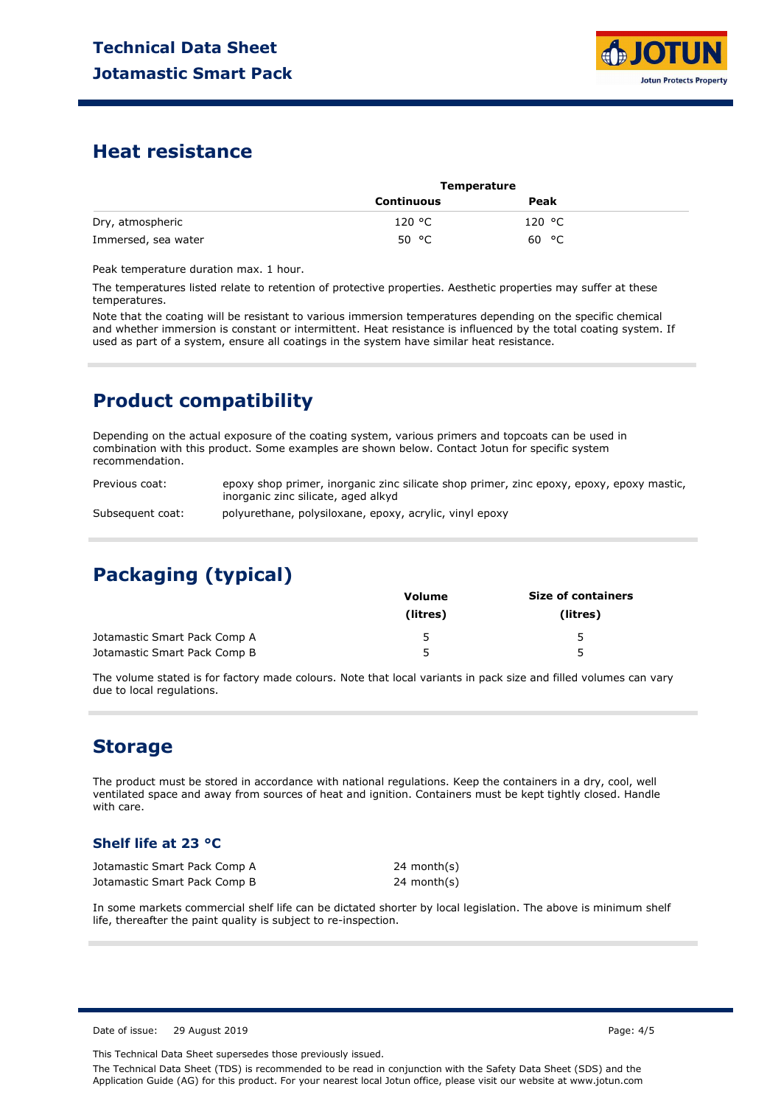

### **Heat resistance**

|                     | Temperature       |        |  |
|---------------------|-------------------|--------|--|
|                     | <b>Continuous</b> | Peak   |  |
| Dry, atmospheric    | 120 °C            | 120 °C |  |
| Immersed, sea water | 50 °C             | 60 °C  |  |

Peak temperature duration max. 1 hour.

The temperatures listed relate to retention of protective properties. Aesthetic properties may suffer at these temperatures.

Note that the coating will be resistant to various immersion temperatures depending on the specific chemical and whether immersion is constant or intermittent. Heat resistance is influenced by the total coating system. If used as part of a system, ensure all coatings in the system have similar heat resistance.

# **Product compatibility**

Depending on the actual exposure of the coating system, various primers and topcoats can be used in combination with this product. Some examples are shown below. Contact Jotun for specific system recommendation.

Previous coat: epoxy shop primer, inorganic zinc silicate shop primer, zinc epoxy, epoxy, epoxy mastic, inorganic zinc silicate, aged alkyd

Subsequent coat: polyurethane, polysiloxane, epoxy, acrylic, vinyl epoxy

# **Packaging (typical)**

|                              | Volume   | <b>Size of containers</b> |
|------------------------------|----------|---------------------------|
|                              | (litres) | (litres)                  |
| Jotamastic Smart Pack Comp A |          | 5                         |
| Jotamastic Smart Pack Comp B | 5        | 5                         |

The volume stated is for factory made colours. Note that local variants in pack size and filled volumes can vary due to local regulations.

### **Storage**

The product must be stored in accordance with national regulations. Keep the containers in a dry, cool, well ventilated space and away from sources of heat and ignition. Containers must be kept tightly closed. Handle with care.

### **Shelf life at 23 °C**

Jotamastic Smart Pack Comp A Jotamastic Smart Pack Comp B 24 month(s) 24 month(s)

In some markets commercial shelf life can be dictated shorter by local legislation. The above is minimum shelf life, thereafter the paint quality is subject to re-inspection.

Date of issue: 29 August 2019 Page: 4/5

This Technical Data Sheet supersedes those previously issued.